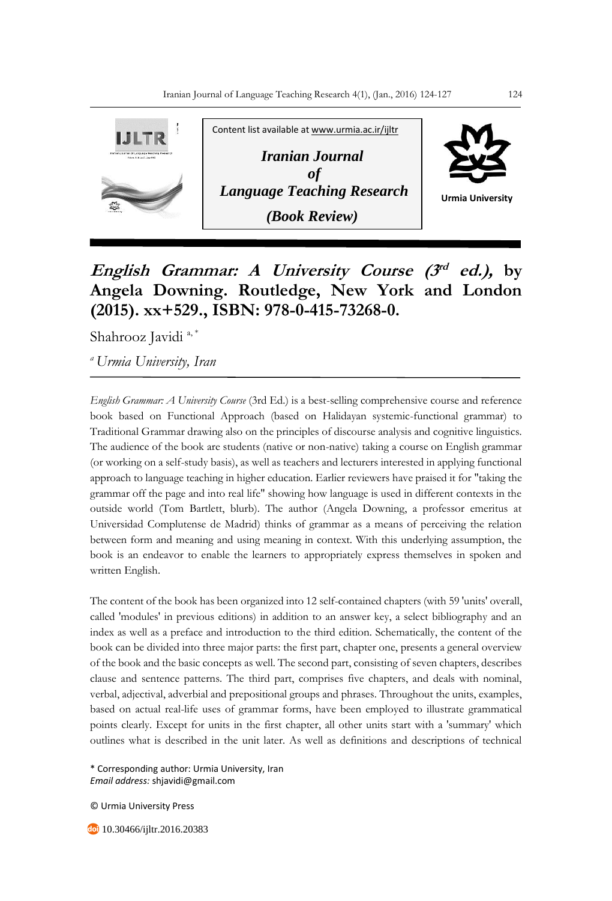

## **English Grammar: A University Course (3 rd ed.), by Angela Downing. Routledge, New York and London (2015). xx+529., ISBN: 978-0-415-73268-0.**

Shahrooz Javidi<sup>a,\*</sup>

*<sup>a</sup>Urmia University, Iran*

*English Grammar: A University Course* (3rd Ed.) is a best-selling comprehensive course and reference book based on Functional Approach (based on Halidayan systemic-functional grammar) to Traditional Grammar drawing also on the principles of discourse analysis and cognitive linguistics. The audience of the book are students (native or non-native) taking a course on English grammar (or working on a self-study basis), as well as teachers and lecturers interested in applying functional approach to language teaching in higher education. Earlier reviewers have praised it for "taking the grammar off the page and into real life" showing how language is used in different contexts in the outside world (Tom Bartlett, blurb). The author (Angela Downing, a professor emeritus at Universidad Complutense de Madrid) thinks of grammar as a means of perceiving the relation between form and meaning and using meaning in context. With this underlying assumption, the book is an endeavor to enable the learners to appropriately express themselves in spoken and written English.

The content of the book has been organized into 12 self-contained chapters (with 59 'units' overall, called 'modules' in previous editions) in addition to an answer key, a select bibliography and an index as well as a preface and introduction to the third edition. Schematically, the content of the book can be divided into three major parts: the first part, chapter one, presents a general overview of the book and the basic concepts as well. The second part, consisting of seven chapters, describes clause and sentence patterns. The third part, comprises five chapters, and deals with nominal, verbal, adjectival, adverbial and prepositional groups and phrases. Throughout the units, examples, based on actual real-life uses of grammar forms, have been employed to illustrate grammatical points clearly. Except for units in the first chapter, all other units start with a 'summary' which outlines what is described in the unit later. As well as definitions and descriptions of technical

\* Corresponding author: Urmia University, Iran *Email address:* shjavidi@gmail.com

© Urmia University Press

**10.30466/ijltr.2016.20383**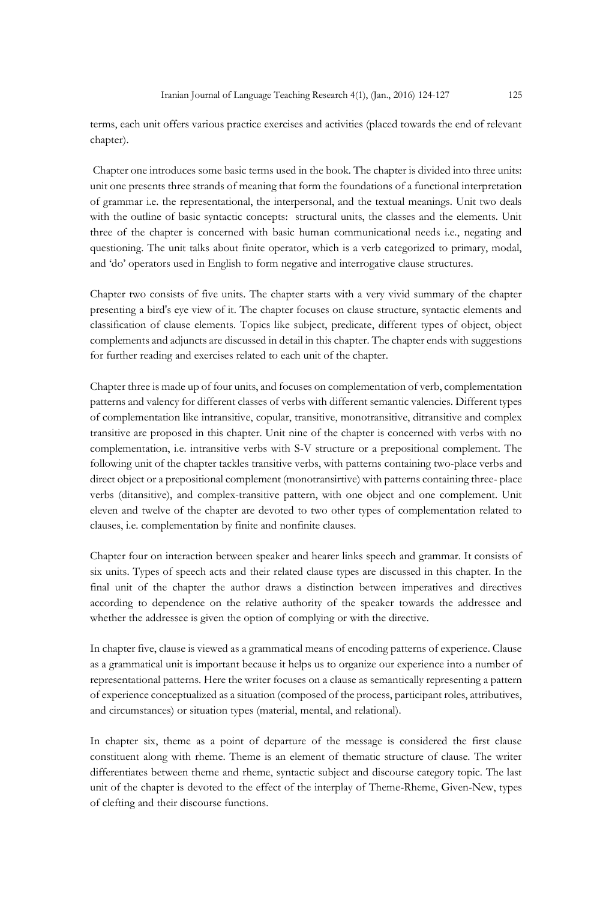terms, each unit offers various practice exercises and activities (placed towards the end of relevant chapter).

Chapter one introduces some basic terms used in the book. The chapter is divided into three units: unit one presents three strands of meaning that form the foundations of a functional interpretation of grammar i.e. the representational, the interpersonal, and the textual meanings. Unit two deals with the outline of basic syntactic concepts: structural units, the classes and the elements. Unit three of the chapter is concerned with basic human communicational needs i.e., negating and questioning. The unit talks about finite operator, which is a verb categorized to primary, modal, and 'do' operators used in English to form negative and interrogative clause structures.

Chapter two consists of five units. The chapter starts with a very vivid summary of the chapter presenting a bird's eye view of it. The chapter focuses on clause structure, syntactic elements and classification of clause elements. Topics like subject, predicate, different types of object, object complements and adjuncts are discussed in detail in this chapter. The chapter ends with suggestions for further reading and exercises related to each unit of the chapter.

Chapter three is made up of four units, and focuses on complementation of verb, complementation patterns and valency for different classes of verbs with different semantic valencies. Different types of complementation like intransitive, copular, transitive, monotransitive, ditransitive and complex transitive are proposed in this chapter. Unit nine of the chapter is concerned with verbs with no complementation, i.e. intransitive verbs with S-V structure or a prepositional complement. The following unit of the chapter tackles transitive verbs, with patterns containing two-place verbs and direct object or a prepositional complement (monotransirtive) with patterns containing three- place verbs (ditansitive), and complex-transitive pattern, with one object and one complement. Unit eleven and twelve of the chapter are devoted to two other types of complementation related to clauses, i.e. complementation by finite and nonfinite clauses.

Chapter four on interaction between speaker and hearer links speech and grammar. It consists of six units. Types of speech acts and their related clause types are discussed in this chapter. In the final unit of the chapter the author draws a distinction between imperatives and directives according to dependence on the relative authority of the speaker towards the addressee and whether the addressee is given the option of complying or with the directive.

In chapter five, clause is viewed as a grammatical means of encoding patterns of experience. Clause as a grammatical unit is important because it helps us to organize our experience into a number of representational patterns. Here the writer focuses on a clause as semantically representing a pattern of experience conceptualized as a situation (composed of the process, participant roles, attributives, and circumstances) or situation types (material, mental, and relational).

In chapter six, theme as a point of departure of the message is considered the first clause constituent along with rheme. Theme is an element of thematic structure of clause. The writer differentiates between theme and rheme, syntactic subject and discourse category topic. The last unit of the chapter is devoted to the effect of the interplay of Theme-Rheme, Given-New, types of clefting and their discourse functions.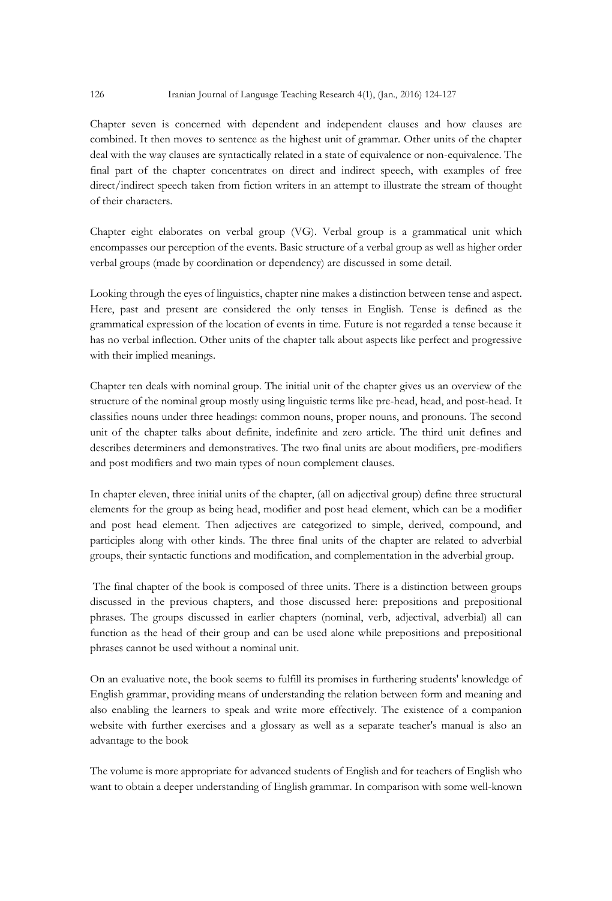## 126 Iranian Journal of Language Teaching Research 4(1), (Jan., 2016) 124-127

Chapter seven is concerned with dependent and independent clauses and how clauses are combined. It then moves to sentence as the highest unit of grammar. Other units of the chapter deal with the way clauses are syntactically related in a state of equivalence or non-equivalence. The final part of the chapter concentrates on direct and indirect speech, with examples of free direct/indirect speech taken from fiction writers in an attempt to illustrate the stream of thought of their characters.

Chapter eight elaborates on verbal group (VG). Verbal group is a grammatical unit which encompasses our perception of the events. Basic structure of a verbal group as well as higher order verbal groups (made by coordination or dependency) are discussed in some detail.

Looking through the eyes of linguistics, chapter nine makes a distinction between tense and aspect. Here, past and present are considered the only tenses in English. Tense is defined as the grammatical expression of the location of events in time. Future is not regarded a tense because it has no verbal inflection. Other units of the chapter talk about aspects like perfect and progressive with their implied meanings.

Chapter ten deals with nominal group. The initial unit of the chapter gives us an overview of the structure of the nominal group mostly using linguistic terms like pre-head, head, and post-head. It classifies nouns under three headings: common nouns, proper nouns, and pronouns. The second unit of the chapter talks about definite, indefinite and zero article. The third unit defines and describes determiners and demonstratives. The two final units are about modifiers, pre-modifiers and post modifiers and two main types of noun complement clauses.

In chapter eleven, three initial units of the chapter, (all on adjectival group) define three structural elements for the group as being head, modifier and post head element, which can be a modifier and post head element. Then adjectives are categorized to simple, derived, compound, and participles along with other kinds. The three final units of the chapter are related to adverbial groups, their syntactic functions and modification, and complementation in the adverbial group.

The final chapter of the book is composed of three units. There is a distinction between groups discussed in the previous chapters, and those discussed here: prepositions and prepositional phrases. The groups discussed in earlier chapters (nominal, verb, adjectival, adverbial) all can function as the head of their group and can be used alone while prepositions and prepositional phrases cannot be used without a nominal unit.

On an evaluative note, the book seems to fulfill its promises in furthering students' knowledge of English grammar, providing means of understanding the relation between form and meaning and also enabling the learners to speak and write more effectively. The existence of a companion website with further exercises and a glossary as well as a separate teacher's manual is also an advantage to the book

The volume is more appropriate for advanced students of English and for teachers of English who want to obtain a deeper understanding of English grammar. In comparison with some well-known